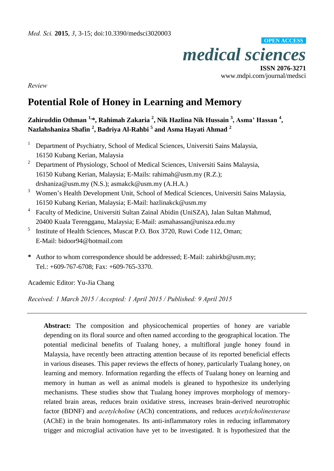

**ISSN 2076-3271** www.mdpi.com/journal/medsci

*Review* 

# **Potential Role of Honey in Learning and Memory**

**Zahiruddin Othman 1,\*, Rahimah Zakaria <sup>2</sup> , Nik Hazlina Nik Hussain <sup>3</sup> , Asma' Hassan <sup>4</sup> , Nazlahshaniza Shafin <sup>2</sup> , Badriya Al-Rahbi <sup>5</sup> and Asma Hayati Ahmad <sup>2</sup>**

- 1 Department of Psychiatry, School of Medical Sciences, Universiti Sains Malaysia, 16150 Kubang Kerian, Malaysia
- 2 Department of Physiology, School of Medical Sciences, Universiti Sains Malaysia, 16150 Kubang Kerian, Malaysia; E-Mails: rahimah@usm.my (R.Z.); drshaniza@usm.my (N.S.); asmakck@usm.my (A.H.A.)
- <sup>3</sup> Women's Health Development Unit, School of Medical Sciences, Universiti Sains Malaysia, 16150 Kubang Kerian, Malaysia; E-Mail: hazlinakck@usm.my
- 4 Faculty of Medicine, Universiti Sultan Zainal Abidin (UniSZA), Jalan Sultan Mahmud, 20400 Kuala Terengganu, Malaysia; E-Mail: asmahassan@unisza.edu.my
- 5 Institute of Health Sciences, Muscat P.O. Box 3720, Ruwi Code 112, Oman; E-Mail: bidoor94@hotmail.com
- **\*** Author to whom correspondence should be addressed; E-Mail: zahirkb@usm.my; Tel.: +609-767-6708; Fax: +609-765-3370.

Academic Editor: Yu-Jia Chang

*Received: 1 March 2015 / Accepted: 1 April 2015 / Published: 9 April 2015* 

**Abstract:** The composition and physicochemical properties of honey are variable depending on its floral source and often named according to the geographical location. The potential medicinal benefits of Tualang honey, a multifloral jungle honey found in Malaysia, have recently been attracting attention because of its reported beneficial effects in various diseases. This paper reviews the effects of honey, particularly Tualang honey, on learning and memory. Information regarding the effects of Tualang honey on learning and memory in human as well as animal models is gleaned to hypothesize its underlying mechanisms. These studies show that Tualang honey improves morphology of memoryrelated brain areas, reduces brain oxidative stress, increases brain-derived neurotrophic factor (BDNF) and *acetylcholine* (ACh) concentrations, and reduces *acetylcholinesterase*  (AChE) in the brain homogenates. Its anti-inflammatory roles in reducing inflammatory trigger and microglial activation have yet to be investigated. It is hypothesized that the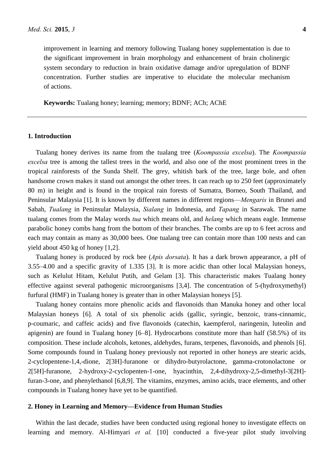improvement in learning and memory following Tualang honey supplementation is due to the significant improvement in brain morphology and enhancement of brain cholinergic system secondary to reduction in brain oxidative damage and/or upregulation of BDNF concentration. Further studies are imperative to elucidate the molecular mechanism of actions.

**Keywords:** Tualang honey; learning; memory; BDNF; ACh; AChE

# **1. Introduction**

Tualang honey derives its name from the tualang tree (*Koompassia excelsa*). The *Koompassia excelsa* tree is among the tallest trees in the world, and also one of the most prominent trees in the tropical rainforests of the Sunda Shelf. The grey, whitish bark of the tree, large bole, and often handsome crown makes it stand out amongst the other trees. It can reach up to 250 feet (approximately 80 m) in height and is found in the tropical rain forests of Sumatra, Borneo, South Thailand, and Peninsular Malaysia [1]. It is known by different names in different regions—*Mengaris* in Brunei and Sabah, *Tualang* in Peninsular Malaysia, *Sialang* in Indonesia, and *Tapang* in Sarawak. The name tualang comes from the Malay words *tua* which means old, and *helang* which means eagle. Immense parabolic honey combs hang from the bottom of their branches. The combs are up to 6 feet across and each may contain as many as 30,000 bees. One tualang tree can contain more than 100 nests and can yield about 450 kg of honey [1,2].

Tualang honey is produced by rock bee (*Apis dorsata*). It has a dark brown appearance, a pH of 3.55–4.00 and a specific gravity of 1.335 [3]. It is more acidic than other local Malaysian honeys, such as Kelulut Hitam, Kelulut Putih, and Gelam [3]. This characteristic makes Tualang honey effective against several pathogenic microorganisms [3,4]. The concentration of 5-(hydroxymethyl) furfural (HMF) in Tualang honey is greater than in other Malaysian honeys [5].

Tualang honey contains more phenolic acids and flavonoids than Manuka honey and other local Malaysian honeys [6]. A total of six phenolic acids (gallic, syringic, benzoic, trans-cinnamic, p-coumaric, and caffeic acids) and five flavonoids (catechin, kaempferol, naringenin, luteolin and apigenin) are found in Tualang honey [6–8]. Hydrocarbons constitute more than half (58.5%) of its composition. These include alcohols, ketones, aldehydes, furans, terpenes, flavonoids, and phenols [6]. Some compounds found in Tualang honey previously not reported in other honeys are stearic acids, 2-cyclopentene-1,4,-dione, 2[3H]-furanone or dihydro-butyrolactone, gamma-crotonolactone or 2[5H]-furanone, 2-hydroxy-2-cyclopenten-1-one, hyacinthin, 2,4-dihydroxy-2,5-dimethyl-3[2H] furan-3-one, and phenylethanol [6,8,9]. The vitamins, enzymes, amino acids, trace elements, and other compounds in Tualang honey have yet to be quantified.

## **2. Honey in Learning and Memory—Evidence from Human Studies**

Within the last decade, studies have been conducted using regional honey to investigate effects on learning and memory. Al-Himyari *et al.* [10] conducted a five-year pilot study involving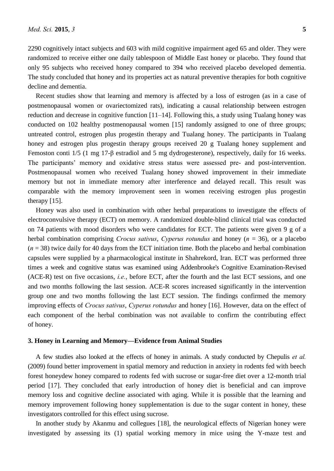2290 cognitively intact subjects and 603 with mild cognitive impairment aged 65 and older. They were randomized to receive either one daily tablespoon of Middle East honey or placebo. They found that only 95 subjects who received honey compared to 394 who received placebo developed dementia. The study concluded that honey and its properties act as natural preventive therapies for both cognitive decline and dementia.

Recent studies show that learning and memory is affected by a loss of estrogen (as in a case of postmenopausal women or ovariectomized rats), indicating a causal relationship between estrogen reduction and decrease in cognitive function [11–14]. Following this, a study using Tualang honey was conducted on 102 healthy postmenopausal women [15] randomly assigned to one of three groups; untreated control, estrogen plus progestin therapy and Tualang honey. The participants in Tualang honey and estrogen plus progestin therapy groups received 20 g Tualang honey supplement and Femoston conti 1/5 (1 mg 17-β estradiol and 5 mg dydrogesterone), respectively, daily for 16 weeks. The participants' memory and oxidative stress status were assessed pre- and post-intervention. Postmenopausal women who received Tualang honey showed improvement in their immediate memory but not in immediate memory after interference and delayed recall. This result was comparable with the memory improvement seen in women receiving estrogen plus progestin therapy [15].

Honey was also used in combination with other herbal preparations to investigate the effects of electroconvulsive therapy (ECT) on memory. A randomized double-blind clinical trial was conducted on 74 patients with mood disorders who were candidates for ECT. The patients were given 9 g of a herbal combination comprising *Crocus sativus*, *Cyperus rotundus* and honey (*n* = 36), or a placebo  $(n = 38)$  twice daily for 40 days from the ECT initiation time. Both the placebo and herbal combination capsules were supplied by a pharmacological institute in Shahrekord, Iran. ECT was performed three times a week and cognitive status was examined using Addenbrooke's Cognitive Examination-Revised (ACE-R) test on five occasions, *i.e.*, before ECT, after the fourth and the last ECT sessions, and one and two months following the last session. ACE-R scores increased significantly in the intervention group one and two months following the last ECT session. The findings confirmed the memory improving effects of *Crocus sativus*, *Cyperus rotundus* and honey [16]. However, data on the effect of each component of the herbal combination was not available to confirm the contributing effect of honey.

#### **3. Honey in Learning and Memory—Evidence from Animal Studies**

A few studies also looked at the effects of honey in animals. A study conducted by Chepulis *et al.* (2009) found better improvement in spatial memory and reduction in anxiety in rodents fed with beech forest honeydew honey compared to rodents fed with sucrose or sugar-free diet over a 12-month trial period [17]. They concluded that early introduction of honey diet is beneficial and can improve memory loss and cognitive decline associated with aging. While it is possible that the learning and memory improvement following honey supplementation is due to the sugar content in honey, these investigators controlled for this effect using sucrose.

In another study by Akanmu and collegues [18], the neurological effects of Nigerian honey were investigated by assessing its (1) spatial working memory in mice using the Y-maze test and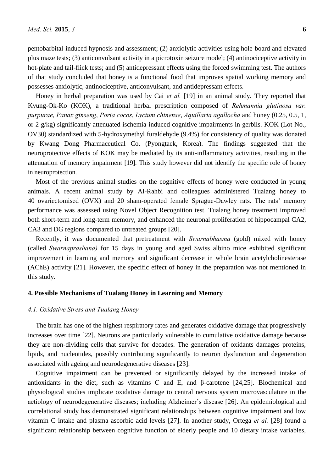pentobarbital-induced hypnosis and assessment; (2) anxiolytic activities using hole-board and elevated plus maze tests; (3) anticonvulsant activity in a picrotoxin seizure model; (4) antinociceptive activity in hot-plate and tail-flick tests; and (5) antidepressant effects using the forced swimming test. The authors of that study concluded that honey is a functional food that improves spatial working memory and possesses anxiolytic, antinociceptive, anticonvulsant, and antidepressant effects.

Honey in herbal preparation was used by Cai *et al.* [19] in an animal study. They reported that Kyung-Ok-Ko (KOK), a traditional herbal prescription composed of *Rehmannia glutinosa var. purpurae*, *Panax ginseng*, *Poria cocos*, *Lycium chinense*, *Aquillaria agallocha* and honey (0.25, 0.5, 1, or 2 g/kg) significantly attenuated ischemia-induced cognitive impairments in gerbils. KOK (Lot No., OV30) standardized with 5-hydroxymethyl furaldehyde (9.4%) for consistency of quality was donated by Kwang Dong Pharmaceutical Co. (Pyongtaek, Korea). The findings suggested that the neuroprotective effects of KOK may be mediated by its anti-inflammatory activities, resulting in the attenuation of memory impairment [19]. This study however did not identify the specific role of honey in neuroprotection.

Most of the previous animal studies on the cognitive effects of honey were conducted in young animals. A recent animal study by Al-Rahbi and colleagues administered Tualang honey to 40 ovariectomised (OVX) and 20 sham-operated female Sprague-Dawley rats. The rats' memory performance was assessed using Novel Object Recognition test. Tualang honey treatment improved both short-term and long-term memory, and enhanced the neuronal proliferation of hippocampal CA2, CA3 and DG regions compared to untreated groups [20].

Recently, it was documented that pretreatment with *Swarnabhasma* (gold) mixed with honey (called *Swarnaprashana)* for 15 days in young and aged Swiss albino mice exhibited significant improvement in learning and memory and significant decrease in whole brain acetylcholinesterase (AChE) activity [21]. However, the specific effect of honey in the preparation was not mentioned in this study.

# **4. Possible Mechanisms of Tualang Honey in Learning and Memory**

#### *4.1. Oxidative Stress and Tualang Honey*

The brain has one of the highest respiratory rates and generates oxidative damage that progressively increases over time [22]. Neurons are particularly vulnerable to cumulative oxidative damage because they are non-dividing cells that survive for decades. The generation of oxidants damages proteins, lipids, and nucleotides, possibly contributing significantly to neuron dysfunction and degeneration associated with ageing and neurodegenerative diseases [23].

Cognitive impairment can be prevented or significantly delayed by the increased intake of antioxidants in the diet, such as vitamins C and E, and β-carotene [24,25]. Biochemical and physiological studies implicate oxidative damage to central nervous system microvasculature in the aetiology of neurodegenerative diseases; including Alzheimer's disease [26]. An epidemiological and correlational study has demonstrated significant relationships between cognitive impairment and low vitamin C intake and plasma ascorbic acid levels [27]. In another study, Ortega *et al.* [28] found a significant relationship between cognitive function of elderly people and 10 dietary intake variables,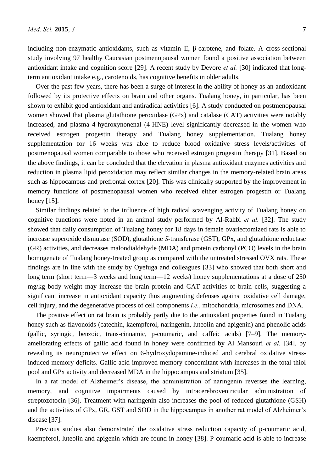including non-enzymatic antioxidants, such as vitamin E, β-carotene, and folate. A cross-sectional study involving 97 healthy Caucasian postmenopausal women found a positive association between antioxidant intake and cognition score [29]. A recent study by Devore *et al.* [30] indicated that longterm antioxidant intake e.g., carotenoids, has cognitive benefits in older adults.

Over the past few years, there has been a surge of interest in the ability of honey as an antioxidant followed by its protective effects on brain and other organs. Tualang honey, in particular, has been shown to exhibit good antioxidant and antiradical activities [6]. A study conducted on postmenopausal women showed that plasma glutathione peroxidase (GPx) and catalase (CAT) activities were notably increased, and plasma 4-hydroxynonenal (4-HNE) level significantly decreased in the women who received estrogen progestin therapy and Tualang honey supplementation. Tualang honey supplementation for 16 weeks was able to reduce blood oxidative stress levels/activities of postmenopausal women comparable to those who received estrogen progestin therapy [31]. Based on the above findings, it can be concluded that the elevation in plasma antioxidant enzymes activities and reduction in plasma lipid peroxidation may reflect similar changes in the memory-related brain areas such as hippocampus and prefrontal cortex [20]. This was clinically supported by the improvement in memory functions of postmenopausal women who received either estrogen progestin or Tualang honey [15].

Similar findings related to the influence of high radical scavenging activity of Tualang honey on cognitive functions were noted in an animal study performed by Al-Rahbi *et al.* [32]. The study showed that daily consumption of Tualang honey for 18 days in female ovariectomized rats is able to increase superoxide dismutase (SOD), glutathione *S*-transferase (GST), GPx, and glutathione reductase (GR) activities, and decreases malondialdehyde (MDA) and protein carbonyl (PCO) levels in the brain homogenate of Tualang honey-treated group as compared with the untreated stressed OVX rats. These findings are in line with the study by Oyefuga and colleagues [33] who showed that both short and long term (short term—3 weeks and long term—12 weeks) honey supplementations at a dose of 250 mg/kg body weight may increase the brain protein and CAT activities of brain cells, suggesting a significant increase in antioxidant capacity thus augmenting defenses against oxidative cell damage, cell injury, and the degenerative process of cell components *i.e.*, mitochondria, microsomes and DNA.

The positive effect on rat brain is probably partly due to the antioxidant properties found in Tualang honey such as flavonoids (catechin, kaempferol, naringenin, luteolin and apigenin) and phenolic acids (gallic, syringic, benzoic, trans-cinnamic, p-coumaric, and caffeic acids) [7–9]. The memoryameliorating effects of gallic acid found in honey were confirmed by Al Mansouri *et al.* [34], by revealing its neuroprotective effect on 6-hydroxydopamine-induced and cerebral oxidative stressinduced memory deficits. Gallic acid improved memory concomitant with increases in the total thiol pool and GPx activity and decreased MDA in the hippocampus and striatum [35].

In a rat model of Alzheimer's disease, the administration of naringenin reverses the learning, memory, and cognitive impairments caused by intracerebroventricular administration of streptozotocin [36]. Treatment with naringenin also increases the pool of reduced glutathione (GSH) and the activities of GPx, GR, GST and SOD in the hippocampus in another rat model of Alzheimer's disease [37].

Previous studies also demonstrated the oxidative stress reduction capacity of p-coumaric acid, kaempferol, luteolin and apigenin which are found in honey [38]. P-coumaric acid is able to increase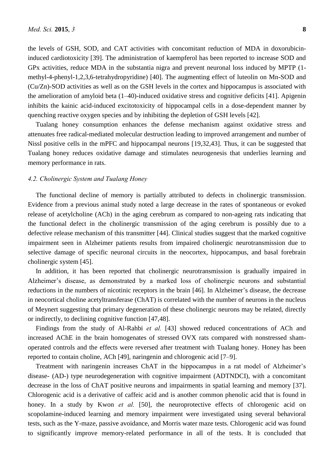the levels of GSH, SOD, and CAT activities with concomitant reduction of MDA in doxorubicininduced cardiotoxicity [39]. The administration of kaempferol has been reported to increase SOD and GPx activities, reduce MDA in the substantia nigra and prevent neuronal loss induced by MPTP (1 methyl-4-phenyl-1,2,3,6-tetrahydropyridine) [40]. The augmenting effect of luteolin on Mn-SOD and (Cu/Zn)-SOD activities as well as on the GSH levels in the cortex and hippocampus is associated with the amelioration of amyloid beta (1–40)-induced oxidative stress and cognitive deficits [41]. Apigenin inhibits the kainic acid-induced excitotoxicity of hippocampal cells in a dose-dependent manner by quenching reactive oxygen species and by inhibiting the depletion of GSH levels [42].

Tualang honey consumption enhances the defense mechanism against oxidative stress and attenuates free radical-mediated molecular destruction leading to improved arrangement and number of Nissl positive cells in the mPFC and hippocampal neurons [19,32,43]. Thus, it can be suggested that Tualang honey reduces oxidative damage and stimulates neurogenesis that underlies learning and memory performance in rats.

## *4.2. Cholinergic System and Tualang Honey*

The functional decline of memory is partially attributed to defects in cholinergic transmission. Evidence from a previous animal study noted a large decrease in the rates of spontaneous or evoked release of acetylcholine (ACh) in the aging cerebrum as compared to non-ageing rats indicating that the functional defect in the cholinergic transmission of the aging cerebrum is possibly due to a defective release mechanism of this transmitter [44]. Clinical studies suggest that the marked cognitive impairment seen in Alzheimer patients results from impaired cholinergic neurotransmission due to selective damage of specific neuronal circuits in the neocortex, hippocampus, and basal forebrain cholinergic system [45].

In addition, it has been reported that cholinergic neurotransmission is gradually impaired in Alzheimer's disease, as demonstrated by a marked loss of cholinergic neurons and substantial reductions in the numbers of nicotinic receptors in the brain [46]. In Alzheimer's disease, the decrease in neocortical choline acetyltransferase (ChAT) is correlated with the number of neurons in the nucleus of Meynert suggesting that primary degeneration of these cholinergic neurons may be related, directly or indirectly, to declining cognitive function [47,48].

Findings from the study of Al-Rahbi *et al.* [43] showed reduced concentrations of ACh and increased AChE in the brain homogenates of stressed OVX rats compared with nonstressed shamoperated controls and the effects were reversed after treatment with Tualang honey. Honey has been reported to contain choline, ACh [49], naringenin and chlorogenic acid [7–9].

Treatment with naringenin increases ChAT in the hippocampus in a rat model of Alzheimer's disease- (AD-) type neurodegeneration with cognitive impairment (ADTNDCI), with a concomitant decrease in the loss of ChAT positive neurons and impairments in spatial learning and memory [37]. Chlorogenic acid is a derivative of caffeic acid and is another common phenolic acid that is found in honey. In a study by Kwon *et al.* [50], the neuroprotective effects of chlorogenic acid on scopolamine-induced learning and memory impairment were investigated using several behavioral tests, such as the Y-maze, passive avoidance, and Morris water maze tests. Chlorogenic acid was found to significantly improve memory-related performance in all of the tests. It is concluded that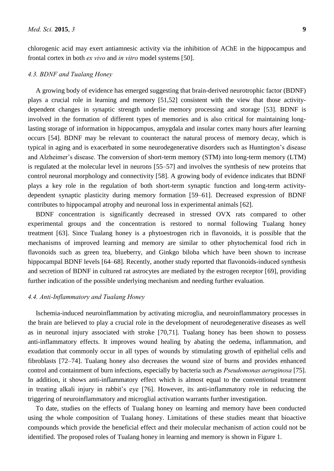chlorogenic acid may exert antiamnesic activity via the inhibition of AChE in the hippocampus and frontal cortex in both *ex vivo* and *in vitro* model systems [50].

#### *4.3. BDNF and Tualang Honey*

A growing body of evidence has emerged suggesting that brain-derived neurotrophic factor (BDNF) plays a crucial role in learning and memory [51,52] consistent with the view that those activitydependent changes in synaptic strength underlie memory processing and storage [53]. BDNF is involved in the formation of different types of memories and is also critical for maintaining longlasting storage of information in hippocampus, amygdala and insular cortex many hours after learning occurs [54]. BDNF may be relevant to counteract the natural process of memory decay, which is typical in aging and is exacerbated in some neurodegenerative disorders such as Huntington's disease and Alzheimer's disease. The conversion of short-term memory (STM) into long-term memory (LTM) is regulated at the molecular level in neurons [55–57] and involves the synthesis of new proteins that control neuronal morphology and connectivity [58]. A growing body of evidence indicates that BDNF plays a key role in the regulation of both short-term synaptic function and long-term activitydependent synaptic plasticity during memory formation [59–61]. Decreased expression of BDNF contributes to hippocampal atrophy and neuronal loss in experimental animals [62].

BDNF concentration is significantly decreased in stressed OVX rats compared to other experimental groups and the concentration is restored to normal following Tualang honey treatment [63]. Since Tualang honey is a phytoestrogen rich in flavonoids, it is possible that the mechanisms of improved learning and memory are similar to other phytochemical food rich in flavonoids such as green tea, blueberry, and Ginkgo biloba which have been shown to increase hippocampal BDNF levels [64–68]. Recently, another study reported that flavonoids-induced synthesis and secretion of BDNF in cultured rat astrocytes are mediated by the estrogen receptor [69], providing further indication of the possible underlying mechanism and needing further evaluation.

# *4.4. Anti-Inflammatory and Tualang Honey*

Ischemia-induced neuroinflammation by activating microglia, and neuroinflammatory processes in the brain are believed to play a crucial role in the development of neurodegenerative diseases as well as in neuronal injury associated with stroke [70,71]. Tualang honey has been shown to possess anti-inflammatory effects. It improves wound healing by abating the oedema, inflammation, and exudation that commonly occur in all types of wounds by stimulating growth of epithelial cells and fibroblasts [72–74]. Tualang honey also decreases the wound size of burns and provides enhanced control and containment of burn infections, especially by bacteria such as *Pseudomonas aeruginosa* [75]. In addition, it shows anti-inflammatory effect which is almost equal to the conventional treatment in treating alkali injury in rabbit's eye [76]. However, its anti-inflammatory role in reducing the triggering of neuroinflammatory and microglial activation warrants further investigation.

To date, studies on the effects of Tualang honey on learning and memory have been conducted using the whole composition of Tualang honey. Limitations of these studies meant that bioactive compounds which provide the beneficial effect and their molecular mechanism of action could not be identified. The proposed roles of Tualang honey in learning and memory is shown in Figure 1.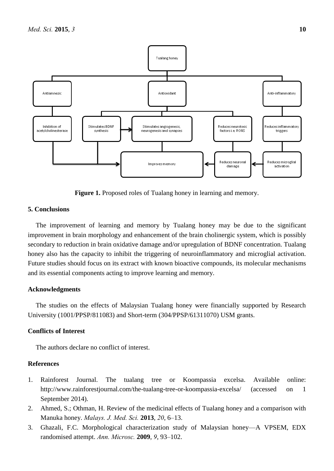

**Figure 1.** Proposed roles of Tualang honey in learning and memory.

# **5. Conclusions**

The improvement of learning and memory by Tualang honey may be due to the significant improvement in brain morphology and enhancement of the brain cholinergic system, which is possibly secondary to reduction in brain oxidative damage and/or upregulation of BDNF concentration. Tualang honey also has the capacity to inhibit the triggering of neuroinflammatory and microglial activation. Future studies should focus on its extract with known bioactive compounds, its molecular mechanisms and its essential components acting to improve learning and memory.

## **Acknowledgments**

The studies on the effects of Malaysian Tualang honey were financially supported by Research University (1001/PPSP/811083) and Short-term (304/PPSP/61311070) USM grants.

# **Conflicts of Interest**

The authors declare no conflict of interest.

## **References**

- 1. Rainforest Journal. The tualang tree or Koompassia excelsa. Available online: http://www.rainforestjournal.com/the-tualang-tree-or-koompassia-excelsa/ (accessed on 1 September 2014).
- 2. Ahmed, S.; Othman, H. Review of the medicinal effects of Tualang honey and a comparison with Manuka honey. *Malays. J. Med. Sci.* **2013**, *20*, 6–13.
- 3. Ghazali, F.C. Morphological characterization study of Malaysian honey—A VPSEM, EDX randomised attempt. *Ann. Microsc.* **2009**, *9*, 93–102.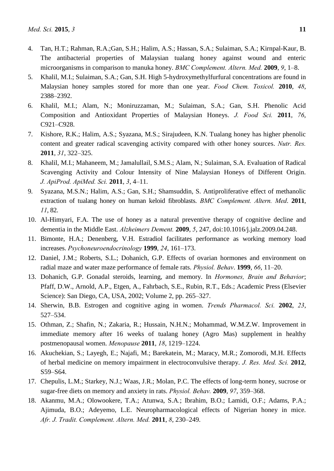- 4. Tan, H.T.; Rahman, R.A.;Gan, S.H.; Halim, A.S.; Hassan, S.A.; Sulaiman, S.A.; Kirnpal-Kaur, B. The antibacterial properties of Malaysian tualang honey against wound and enteric microorganisms in comparison to manuka honey. *BMC Complement. Altern. Med.* **2009**, *9*, 1–8.
- 5. Khalil, M.I.; Sulaiman, S.A.; Gan, S.H. High 5-hydroxymethylfurfural concentrations are found in Malaysian honey samples stored for more than one year. *Food Chem. Toxicol.* **2010**, *48*, 2388–2392.
- 6. Khalil, M.I.; Alam, N.; Moniruzzaman, M.; Sulaiman, S.A.; Gan, S.H. Phenolic Acid Composition and Antioxidant Properties of Malaysian Honeys. *J. Food Sci.* **2011**, *76*, C921–C928.
- 7. Kishore, R.K.; Halim, A.S.; Syazana, M.S.; Sirajudeen, K.N. Tualang honey has higher phenolic content and greater radical scavenging activity compared with other honey sources. *Nutr. Res.* **2011**, *31*, 322–325.
- 8. Khalil, M.I.; Mahaneem, M.; Jamalullail, S.M.S.; Alam, N.; Sulaiman, S.A. Evaluation of Radical Scavenging Activity and Colour Intensity of Nine Malaysian Honeys of Different Origin. *J. ApiProd. ApiMed. Sci.* **2011**, *3*, 4–11.
- 9. Syazana, M.S.N.; Halim, A.S.; Gan, S.H.; Shamsuddin, S. Antiproliferative effect of methanolic extraction of tualang honey on human keloid fibroblasts. *BMC Complement. Altern. Med*. **2011**, *11*, 82.
- 10. Al-Himyari, F.A. The use of honey as a natural preventive therapy of cognitive decline and dementia in the Middle East. *Alzheimers Dement.* **2009**, *5*, 247, doi:10.1016*/*j.jalz.2009.04.248.
- 11. Bimonte, H.A.; Denenberg, V.H. Estradiol facilitates performance as working memory load increases. *Psychoneuroendocrinology* **1999**, *24*, 161–173.
- 12. Daniel, J.M.; Roberts, S.L.; Dohanich, G.P. Effects of ovarian hormones and environment on radial maze and water maze performance of female rats. *Physiol. Behav*. **1999**, *66*, 11–20.
- 13. Dohanich, G.P. Gonadal steroids, learning, and memory. In *Hormones, Brain and Behavior*; Pfaff, D.W., Arnold, A.P., Etgen, A., Fahrbach, S.E., Rubin, R.T., Eds.; Academic Press (Elsevier Science): San Diego, CA, USA, 2002; Volume 2, pp. 265–327.
- 14. Sherwin, B.B. Estrogen and cognitive aging in women. *Trends Pharmacol. Sci.* **2002**, *23*, 527–534.
- 15. Othman, Z.; Shafin, N.; Zakaria, R.; Hussain, N.H.N.; Mohammad, W.M.Z.W. Improvement in immediate memory after 16 weeks of tualang honey (Agro Mas) supplement in healthy postmenopausal women. *Menopause* **2011**, *18*, 1219–1224.
- 16. Akuchekian, S.; Layegh, E.; Najafi, M.; Barekatein, M.; Maracy, M.R.; Zomorodi, M.H. Effects of herbal medicine on memory impairment in electroconvulsive therapy. *J. Res. Med. Sci.* **2012**, S59–S64.
- 17. Chepulis, L.M.; Starkey, N.J.; Waas, J.R.; Molan, P.C. The effects of long-term honey, sucrose or sugar-free diets on memory and anxiety in rats. *Physiol. Behav.* **2009**, *97*, 359–368.
- 18. Akanmu, M.A.; Olowookere, T.A.; Atunwa, S.A*.*; Ibrahim, B.O.; Lamidi, O.F.; Adams, P.A.; Ajimuda, B.O.; Adeyemo, L.E. Neuropharmacological effects of Nigerian honey in mice. *Afr. J. Tradit. Complement. Altern. Med.* **2011**, *8*, 230–249.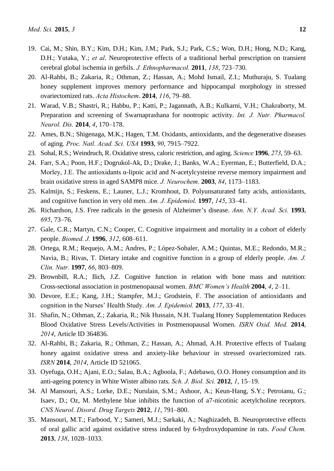- 19. Cai, M.; Shin, B.Y.; Kim, D.H.; Kim, J.M.; Park, S.J.; Park, C.S.; Won, D.H.; Hong, N.D.; Kang, D.H.; Yutaka, Y.; *et al*. Neuroprotective effects of a traditional herbal prescription on transient cerebral global ischemia in gerbils. *J. Ethnopharmacol.* **2011**, *138*, 723–730.
- 20. Al-Rahbi, B.; Zakaria, R.; Othman, Z.; Hassan, A.; Mohd Ismail, Z.I.; Muthuraju, S. Tualang honey supplement improves memory performance and hippocampal morphology in stressed ovariectomized rats. *Acta Histochem*. **2014**, *116*, 79–88.
- 21. Warad, V.B.; Shastri, R.; Habbu, P.; Katti, P.; Jagannath, A.B.; Kulkarni, V.H.; Chakraborty, M. Preparation and screening of Swarnaprashana for nootropic activity. *Int. J. Nutr. Pharmacol. Neurol. Dis.* **2014**, *4*, 170–178.
- 22. Ames, B.N.; Shigenaga, M.K.; Hagen, T.M. Oxidants, antioxidants, and the degenerative diseases of aging. *Proc. Natl. Acad. Sci. USA* **1993**, *90*, 7915–7922.
- 23. Sohal, R.S.; Weindruch, R. Oxidative stress, caloric restriction, and aging. *Science* **1996**, *273*, 59–63.
- 24. Farr, S.A.; Poon, H.F.; Dogrukol-Ak, D.; Drake, J.; Banks, W.A.; Eyerman, E.; Butterfield, D.A.; Morley, J.E. The antioxidants α-lipoic acid and N-acetylcysteine reverse memory impairment and brain oxidative stress in aged SAMP8 mice. *J. Neurochem.* **2003**, *84*, 1173–1183.
- 25. Kalmijn, S.; Feskens, E.; Launer, L.J.; Kromhout, D. Polyunsaturated fatty acids, antioxidants, and cognitive function in very old men. *Am. J. Epidemiol.* **1997**, *145*, 33–41.
- 26. Richardson, J.S. Free radicals in the genesis of Alzheimer's disease. *Ann. N.Y. Acad. Sci.* **1993**, *695*, 73–76.
- 27. Gale, C.R.; Martyn, C.N.; Cooper, C. Cognitive impairment and mortality in a cohort of elderly people. *Biomed. J.* **1996**, *312*, 608–611.
- 28. Ortega, R.M.; Requejo, A.M.; Andres, P.; López-Sobaler, A.M.; Quintas, M.E.; Redondo, M.R.; Navia, B.; Rivas, T. Dietary intake and cognitive function in a group of elderly people. *Am. J. Clin. Nutr.* **1997**, *66*, 803–809.
- 29. Brownbill, R.A.; Ilich, J.Z. Cognitive function in relation with bone mass and nutrition: Cross-sectional association in postmenopausal women. *BMC Women's Health* **2004**, *4*, 2–11.
- 30. Devore, E.E.; Kang, J.H.; Stampfer, M.J.; Grodstein, F. The association of antioxidants and cognition in the Nurses' Health Study. *Am. J. Epidemiol.* **2013**, *177*, 33–41.
- 31. Shafin, N.; Othman, Z.; Zakaria, R.; Nik Hussain, N.H. Tualang Honey Supplementation Reduces Blood Oxidative Stress Levels/Activities in Postmenopausal Women. *ISRN Oxid. Med.* **2014**, *2014*, Article ID 364836.
- 32. Al-Rahbi, B.; Zakaria, R.; Othman, Z.; Hassan, A.; Ahmad, A.H. Protective effects of Tualang honey against oxidative stress and anxiety-like behaviour in stressed ovariectomized rats. *ISRN* **2014**, *2014*, Article ID 521065.
- 33. Oyefuga, O.H.; Ajani, E.O.; Salau, B.A.; Agboola, F.; Adebawo, O.O. Honey consumption and its anti-ageing potency in White Wister albino rats. *Sch. J. Biol. Sci.* **2012**, *1*, 15–19.
- 34. Al Mansouri, A.S.; Lorke, D.E.; Nurulain, S.M.; Ashoor, A.; Keun-Hang, S.Y.; Petroianu, G.; Isaev, D.; Oz, M. Methylene blue inhibits the function of a7-nicotinic acetylcholine receptors. *CNS Neurol. Disord. Drug Targets* **2012**, *11*, 791–800.
- 35. Mansouri, M.T.; Farbood, Y.; Sameri, M.J.; Sarkaki, A.; Naghizadeh, B. Neuroprotective effects of oral gallic acid against oxidative stress induced by 6-hydroxydopamine in rats. *Food Chem.* **2013**, *138*, 1028–1033.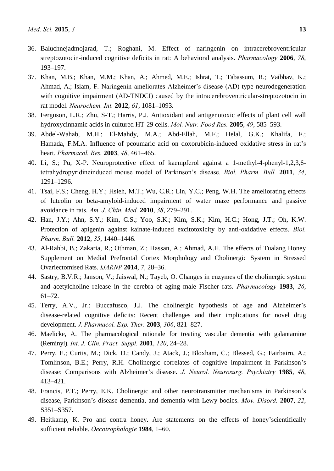- 36. Baluchnejadmojarad, T.; Roghani, M. Effect of naringenin on intracerebroventricular streptozotocin-induced cognitive deficits in rat: A behavioral analysis. *Pharmacology* **2006**, *78*, 193–197.
- 37. Khan, M.B.; Khan, M.M.; Khan, A.; Ahmed, M.E.; Ishrat, T.; Tabassum, R.; Vaibhav, K.; Ahmad, A.; Islam, F. Naringenin ameliorates Alzheimer's disease (AD)-type neurodegeneration with cognitive impairment (AD-TNDCI) caused by the intracerebroventricular-streptozotocin in rat model. *Neurochem. Int.* **2012**, *61*, 1081–1093.
- 38. Ferguson, L.R.; Zhu, S-T.; Harris, P.J. Antioxidant and antigenotoxic effects of plant cell wall hydroxycinnamic acids in cultured HT-29 cells. *Mol. Nutr. Food Res.* **2005**, *49*, 585–593.
- 39. Abdel-Wahab, M.H.; El-Mahdy, M.A.; Abd-Ellah, M.F.; Helal, G.K.; Khalifa, F.; Hamada, F.M.A. Influence of pcoumaric acid on doxorubicin-induced oxidative stress in rat's heart. *Pharmacol. Res.* **2003**, *48*, 461–465.
- 40. Li, S.; Pu, X-P. Neuroprotective effect of kaempferol against a 1-methyl-4-phenyl-1,2,3,6 tetrahydropyridineinduced mouse model of Parkinson's disease. *Biol. Pharm. Bull.* **2011**, *34*, 1291–1296.
- 41. Tsai, F.S.; Cheng, H.Y.; Hsieh, M.T.; Wu, C.R.; Lin, Y.C.; Peng, W.H. The ameliorating effects of luteolin on beta-amyloid-induced impairment of water maze performance and passive avoidance in rats. *Am. J. Chin. Med.* **2010**, *38*, 279–291.
- 42. Han, J.Y.; Ahn, S.Y.; Kim, C.S.; Yoo, S.K.; Kim, S.K.; Kim, H.C.; Hong, J.T.; Oh, K.W. Protection of apigenin against kainate-induced excitotoxicity by anti-oxidative effects. *Biol. Pharm. Bull.* **2012**, *35*, 1440–1446.
- 43. Al-Rahbi, B.; Zakaria, R.; Othman, Z.; Hassan, A.; Ahmad, A.H. The effects of Tualang Honey Supplement on Medial Prefrontal Cortex Morphology and Cholinergic System in Stressed Ovariectomised Rats. *IJARNP* **2014**, *7*, 28–36.
- 44. Sastry, B.V.R.; Janson, V.; Jaiswal, N.; Tayeb, O. Changes in enzymes of the cholinergic system and acetylcholine release in the cerebra of aging male Fischer rats. *Pharmacology* **1983**, *26*, 61–72.
- 45. Terry, A.V., Jr.; Buccafusco, J.J. The cholinergic hypothesis of age and Alzheimer's disease-related cognitive deficits: Recent challenges and their implications for novel drug development. *J. Pharmacol. Exp. Ther.* **2003**, *306*, 821–827.
- 46. Maelicke, A. The pharmacological rationale for treating vascular dementia with galantamine (Reminyl). *Int. J. Clin. Pract. Suppl.* **2001**, *120*, 24–28.
- 47. Perry, E.; Curtis, M.; Dick, D.; Candy, J.; Atack, J.; Bloxham, C.; Blessed, G.; Fairbairn, A.; Tomlinson, B.E.; Perry, R.H. Cholinergic correlates of cognitive impairment in Parkinson's disease: Comparisons with Alzheimer's disease. *J. Neurol. Neurosurg. Psychiatry* **1985**, *48*, 413–421.
- 48. Francis, P.T.; Perry, E.K. Cholinergic and other neurotransmitter mechanisms in Parkinson's disease, Parkinson's disease dementia, and dementia with Lewy bodies. *Mov. Disord.* **2007**, *22*, S351–S357.
- 49. Heitkamp, K. Pro and contra honey. Are statements on the effects of honey'scientifically sufficient reliable. *Oecotrophologie* **1984**, 1–60.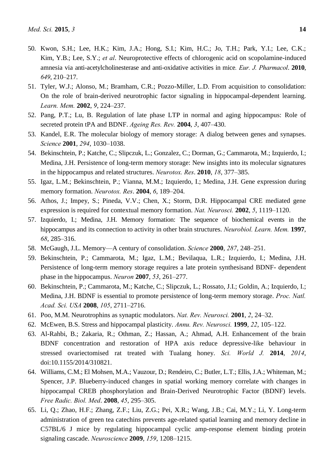- 50. Kwon, S.H.; Lee, H.K.; Kim, J.A.; Hong, S.I.; Kim, H.C.; Jo, T.H.; Park, Y.I.; Lee, C.K.; Kim, Y.B.; Lee, S.Y.; *et al*. Neuroprotective effects of chlorogenic acid on scopolamine-induced amnesia via anti-acetylcholinesterase and anti-oxidative activities in mice*. Eur. J. Pharmacol*. **2010**, *649*, 210–217.
- 51. Tyler, W.J.; Alonso, M.; Bramham, C.R.; Pozzo-Miller, L.D. From acquisition to consolidation: On the role of brain-derived neurotrophic factor signaling in hippocampal-dependent learning. *Learn. Mem.* **2002**, *9*, 224–237.
- 52. Pang, P.T.; Lu, B. Regulation of late phase LTP in normal and aging hippocampus: Role of secreted protein tPA and BDNF. *Ageing Res. Rev.* **2004**, *3*, 407–430.
- 53. Kandel, E.R. The molecular biology of memory storage: A dialog between genes and synapses. *Science* **2001**, *294*, 1030–1038.
- 54. Bekinschtein, P.; Katche, C.; Slipczuk, L.; Gonzalez, C.; Dorman, G.; Cammarota, M.; Izquierdo, I.; Medina, J.H. Persistence of long-term memory storage: New insights into its molecular signatures in the hippocampus and related structures. *Neurotox. Res*. **2010**, *18*, 377–385.
- 55. Igaz, L.M.; Bekinschtein, P.; Vianna, M.M.; Izquierdo, I.; Medina, J.H. Gene expression during memory formation. *Neurotox. Res*. **2004**, *6*, 189–204.
- 56. Athos, J.; Impey, S.; Pineda, V.V.; Chen, X.; Storm, D.R. Hippocampal CRE mediated gene expression is required for contextual memory formation. *Nat. Neurosci.* **2002**, *5*, 1119–1120.
- 57. Izquierdo, I.; Medina, J.H. Memory formation: The sequence of biochemical events in the hippocampus and its connection to activity in other brain structures. *Neurobiol. Learn. Mem.* **1997**, *68*, 285–316.
- 58. McGaugh, J.L. Memory—A century of consolidation. *Science* **2000**, *287*, 248–251.
- 59. Bekinschtein, P.; Cammarota, M.; Igaz, L.M.; Bevilaqua, L.R.; Izquierdo, I.; Medina, J.H. Persistence of long-term memory storage requires a late protein synthesisand BDNF- dependent phase in the hippocampus. *Neuron* **2007**, *53*, 261–277.
- 60. Bekinschtein, P.; Cammarota, M.; Katche, C.; Slipczuk, L.; Rossato, J.I.; Goldin, A.; Izquierdo, I.; Medina, J.H. BDNF is essential to promote persistence of long-term memory storage. *Proc. Natl. Acad. Sci. USA* **2008**, *105*, 2711–2716.
- 61. Poo, M.M. Neurotrophins as synaptic modulators. *Nat. Rev. Neurosci.* **2001**, *2*, 24–32.
- 62. McEwen, B.S. Stress and hippocampal plasticity. *Annu. Rev. Neurosci.* **1999**, *22*, 105–122.
- 63. Al-Rahbi, B.; Zakaria, R.; Othman, Z.; Hassan, A.; Ahmad, A.H. Enhancement of the brain BDNF concentration and restoration of HPA axis reduce depressive-like behaviour in stressed ovariectomised rat treated with Tualang honey. *Sci. World J.* **2014**, *2014*, doi:10.1155/2014/310821.
- 64. Williams, C.M.; El Mohsen, M.A.; Vauzour, D.; Rendeiro, C.; Butler, L.T.; Ellis, J.A.; Whiteman, M.; Spencer, J.P. Blueberry-induced changes in spatial working memory correlate with changes in hippocampal CREB phosphorylation and Brain-Derived Neurotrophic Factor (BDNF) levels. *Free Radic. Biol. Med*. **2008**, *45*, 295–305.
- 65. Li, Q.; Zhao, H.F.; Zhang, Z.F.; Liu, Z.G.; Pei, X.R.; Wang, J.B.; Cai, M.Y.; Li, Y. Long-term administration of green tea catechins prevents age-related spatial learning and memory decline in C57BL/6 J mice by regulating hippocampal cyclic amp-response element binding protein signaling cascade. *Neuroscience* **2009**, *159*, 1208–1215.